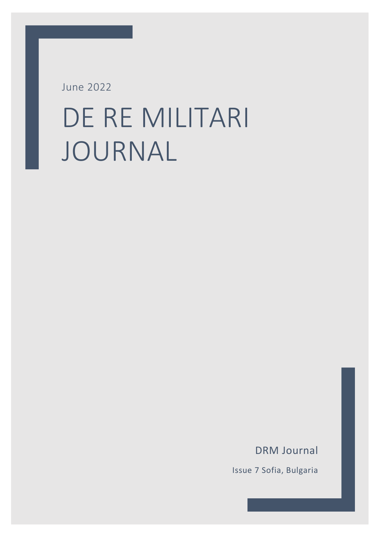June 2022

# DE RE MILITARI JOURNAL

DRM Journal

Issue 7 Sofia, Bulgaria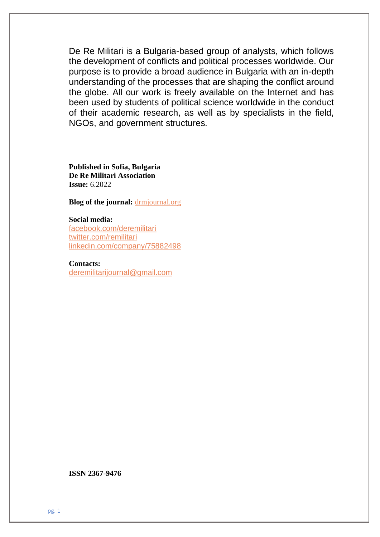De Re Militari is a Bulgaria-based group of analysts, which follows the development of conflicts and political processes worldwide. Our purpose is to provide a broad audience in Bulgaria with an in-depth understanding of the processes that are shaping the conflict around the globe. All our work is freely available on the Internet and has been used by students of political science worldwide in the conduct of their academic research, as well as by specialists in the field, NGOs, and government structures.

**Published in Sofia, Bulgaria De Re Militari Association Issue:** 6.2022

**Blog of the journal: [drmjournal.org](https://drmjournal.org/)** 

#### **Social media:**

[facebook.com/deremilitari](http://www.facebook.com/deremilitari)  [twitter.com/remilitari](https://twitter.com/remilitari) [linkedin.com/company/75882498](https://www.linkedin.com/company/75882498)

**Contacts:** [deremilitarijournal@gmail.com](mailto:deremilitarijournal@gmail.com)

**ISSN 2367-9476**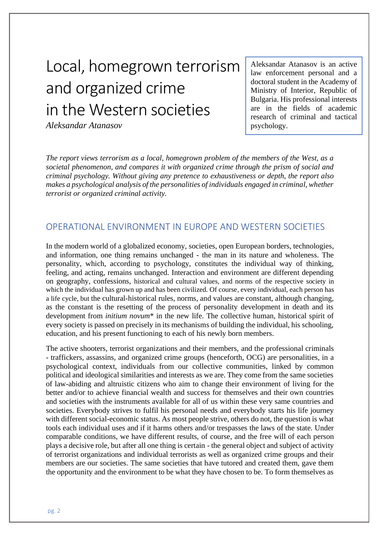# Local, homegrown terrorism and organized crime in the Western societies

*Aleksandar Atanasov*

Aleksandar Atanasov is an active law enforcement personal and a doctoral student in the Academy of Ministry of Interior, Republic of Bulgaria. His professional interests are in the fields of academic research of criminal and tactical psychology.

*The report views terrorism as a local, homegrown problem of the members of the West, as a societal phenomenon, and compares it with organized crime through the prism of social and criminal psychology. Without giving any pretence to exhaustiveness or depth, the report also makes a psychological analysis of the personalities of individuals engaged in criminal, whether terrorist or organized criminal activity.*

# OPERATIONAL ENVIRONMENT IN EUROPE AND WESTERN SOCIETIES

In the modern world of a globalized economy, societies, open European borders, technologies, and information, one thing remains unchanged - the man in its nature and wholeness. The personality, which, according to psychology, constitutes the individual way of thinking, feeling, and acting, remains unchanged. Interaction and environment are different depending on geography, confessions, historical and cultural values, and norms of the respective society in which the individual has grown up and has been civilized. Of course, every individual, each person has a life cycle, but the cultural-historical rules, norms, and values are constant, although changing, as the constant is the resetting of the process of personality development in death and its development from *initium novum*\* in the new life. The collective human, historical spirit of every society is passed on precisely in its mechanisms of building the individual, his schooling, education, and his present functioning to each of his newly born members.

The active shooters, terrorist organizations and their members, and the professional criminals - traffickers, assassins, and organized crime groups (henceforth, OCG) are personalities, in a psychological context, individuals from our collective communities, linked by common political and ideological similarities and interests as we are. They come from the same societies of law-abiding and altruistic citizens who aim to change their environment of living for the better and/or to achieve financial wealth and success for themselves and their own countries and societies with the instruments available for all of us within these very same countries and societies. Everybody strives to fulfil his personal needs and everybody starts his life journey with different social-economic status. As most people strive, others do not, the question is what tools each individual uses and if it harms others and/or trespasses the laws of the state. Under comparable conditions, we have different results, of course, and the free will of each person plays a decisive role, but after all one thing is certain - the general object and subject of activity of terrorist organizations and individual terrorists as well as organized crime groups and their members are our societies. The same societies that have tutored and created them, gave them the opportunity and the environment to be what they have chosen to be. To form themselves as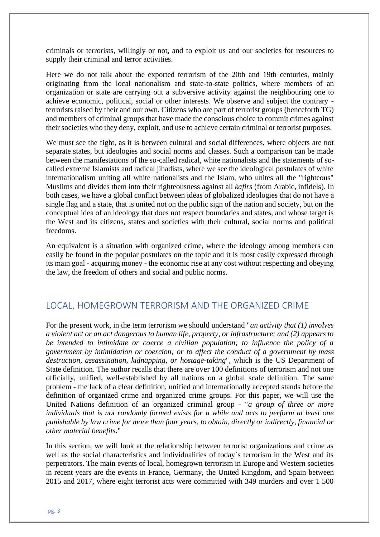criminals or terrorists, willingly or not, and to exploit us and our societies for resources to supply their criminal and terror activities.

Here we do not talk about the exported terrorism of the 20th and 19th centuries, mainly originating from the local nationalism and state-to-state politics, where members of an organization or state are carrying out a subversive activity against the neighbouring one to achieve economic, political, social or other interests. We observe and subject the contrary terrorists raised by their and our own. Citizens who are part of terrorist groups (henceforth TG) and members of criminal groups that have made the conscious choice to commit crimes against their societies who they deny, exploit, and use to achieve certain criminal or terrorist purposes.

We must see the fight, as it is between cultural and social differences, where objects are not separate states, but ideologies and social norms and classes. Such a comparison can be made between the manifestations of the so-called radical, white nationalists and the statements of socalled extreme Islamists and radical jihadists, where we see the ideological postulates of white internationalism uniting all white nationalists and the Islam, who unites all the "righteous" Muslims and divides them into their righteousness against all *kafirs* (from Arabic, infidels). In both cases, we have a global conflict between ideas of globalized ideologies that do not have a single flag and a state, that is united not on the public sign of the nation and society, but on the conceptual idea of an ideology that does not respect boundaries and states, and whose target is the West and its citizens, states and societies with their cultural, social norms and political freedoms.

An equivalent is a situation with organized crime, where the ideology among members can easily be found in the popular postulates on the topic and it is most easily expressed through its main goal - acquiring money - the economic rise at any cost without respecting and obeying the law, the freedom of others and social and public norms.

#### LOCAL, HOMEGROWN TERRORISM AND THE ORGANIZED CRIME

For the present work, in the term terrorism we should understand "*an activity that (1) involves a violent act or an act dangerous to human life, property, or infrastructure; and (2) appears to be intended to intimidate or coerce a civilian population; to influence the policy of a government by intimidation or coercion; or to affect the conduct of a government by mass destruction, assassination, kidnapping, or hostage-taking*", which is the US Department of State definition. The author recalls that there are over 100 definitions of terrorism and not one officially, unified, well-established by all nations on a global scale definition. The same problem - the lack of a clear definition, unified and internationally accepted stands before the definition of organized crime and organized crime groups. For this paper, we will use the United Nations definition of an organized criminal group - "*a group of three or more individuals that is not randomly formed exists for a while and acts to perform at least one punishable by law crime for more than four years, to obtain, directly or indirectly, financial or other material benefits.*"

In this section, we will look at the relationship between terrorist organizations and crime as well as the social characteristics and individualities of today`s terrorism in the West and its perpetrators. The main events of local, homegrown terrorism in Europe and Western societies in recent years are the events in France, Germany, the United Kingdom, and Spain between 2015 and 2017, where eight terrorist acts were committed with 349 murders and over 1 500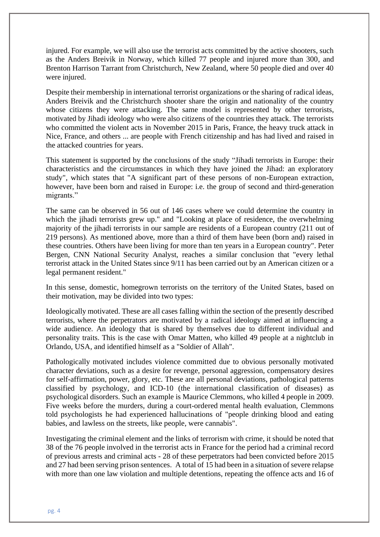injured. For example, we will also use the terrorist acts committed by the active shooters, such as the Anders Breivik in Norway, which killed 77 people and injured more than 300, and Brenton Harrison Tarrant from Christchurch, New Zealand, where 50 people died and over 40 were injured.

Despite their membership in international terrorist organizations or the sharing of radical ideas, Anders Breivik and the Christchurch shooter share the origin and nationality of the country whose citizens they were attacking. The same model is represented by other terrorists, motivated by Jihadi ideology who were also citizens of the countries they attack. The terrorists who committed the violent acts in November 2015 in Paris, France, the heavy truck attack in Nice, France, and others ... are people with French citizenship and has had lived and raised in the attacked countries for years.

This statement is supported by the conclusions of the study "Jihadi terrorists in Europe: their characteristics and the circumstances in which they have joined the Jihad: an exploratory study", which states that "A significant part of these persons of non-European extraction, however, have been born and raised in Europe: i.e. the group of second and third-generation migrants."

The same can be observed in 56 out of 146 cases where we could determine the country in which the jihadi terrorists grew up." and "Looking at place of residence, the overwhelming majority of the jihadi terrorists in our sample are residents of a European country (211 out of 219 persons). As mentioned above, more than a third of them have been (born and) raised in these countries. Others have been living for more than ten years in a European country". Peter Bergen, CNN National Security Analyst, reaches a similar conclusion that "every lethal terrorist attack in the United States since 9/11 has been carried out by an American citizen or a legal permanent resident."

In this sense, domestic, homegrown terrorists on the territory of the United States, based on their motivation, may be divided into two types:

Ideologically motivated. These are all cases falling within the section of the presently described terrorists, where the perpetrators are motivated by a radical ideology aimed at influencing a wide audience. An ideology that is shared by themselves due to different individual and personality traits. This is the case with Omar Matten, who killed 49 people at a nightclub in Orlando, USA, and identified himself as a "Soldier of Allah".

Pathologically motivated includes violence committed due to obvious personally motivated character deviations, such as a desire for revenge, personal aggression, compensatory desires for self-affirmation, power, glory, etc. These are all personal deviations, pathological patterns classified by psychology, and ICD-10 (the international classification of diseases) as psychological disorders. Such an example is Maurice Clemmons, who killed 4 people in 2009. Five weeks before the murders, during a court-ordered mental health evaluation, Clemmons told psychologists he had experienced hallucinations of "people drinking blood and eating babies, and lawless on the streets, like people, were cannabis".

Investigating the criminal element and the links of terrorism with crime, it should be noted that 38 of the 76 people involved in the terrorist acts in France for the period had a criminal record of previous arrests and criminal acts - 28 of these perpetrators had been convicted before 2015 and 27 had been serving prison sentences. A total of 15 had been in a situation of severe relapse with more than one law violation and multiple detentions, repeating the offence acts and 16 of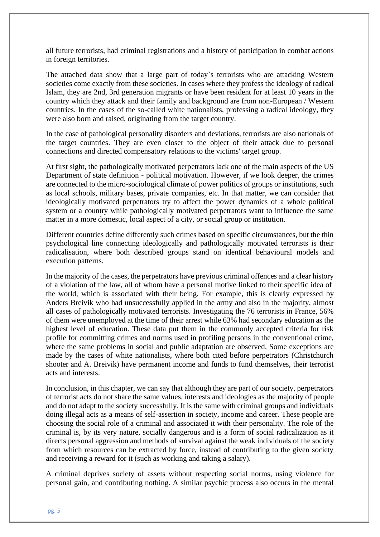all future terrorists, had criminal registrations and a history of participation in combat actions in foreign territories.

The attached data show that a large part of today`s terrorists who are attacking Western societies come exactly from these societies. In cases where they profess the ideology of radical Islam, they are 2nd, 3rd generation migrants or have been resident for at least 10 years in the country which they attack and their family and background are from non-European / Western countries. In the cases of the so-called white nationalists, professing a radical ideology, they were also born and raised, originating from the target country.

In the case of pathological personality disorders and deviations, terrorists are also nationals of the target countries. They are even closer to the object of their attack due to personal connections and directed compensatory relations to the victims' target group.

At first sight, the pathologically motivated perpetrators lack one of the main aspects of the US Department of state definition - political motivation. However, if we look deeper, the crimes are connected to the micro-sociological climate of power politics of groups or institutions, such as local schools, military bases, private companies, etc. In that matter, we can consider that ideologically motivated perpetrators try to affect the power dynamics of a whole political system or a country while pathologically motivated perpetrators want to influence the same matter in a more domestic, local aspect of a city, or social group or institution.

Different countries define differently such crimes based on specific circumstances, but the thin psychological line connecting ideologically and pathologically motivated terrorists is their radicalisation, where both described groups stand on identical behavioural models and execution patterns.

In the majority of the cases, the perpetrators have previous criminal offences and a clear history of a violation of the law, all of whom have a personal motive linked to their specific idea of the world, which is associated with their being. For example, this is clearly expressed by Anders Breivik who had unsuccessfully applied in the army and also in the majority, almost all cases of pathologically motivated terrorists. Investigating the 76 terrorists in France, 56% of them were unemployed at the time of their arrest while 63% had secondary education as the highest level of education. These data put them in the commonly accepted criteria for risk profile for committing crimes and norms used in profiling persons in the conventional crime, where the same problems in social and public adaptation are observed. Some exceptions are made by the cases of white nationalists, where both cited before perpetrators (Christchurch shooter and A. Breivik) have permanent income and funds to fund themselves, their terrorist acts and interests.

In conclusion, in this chapter, we can say that although they are part of our society, perpetrators of terrorist acts do not share the same values, interests and ideologies as the majority of people and do not adapt to the society successfully. It is the same with criminal groups and individuals doing illegal acts as a means of self-assertion in society, income and career. These people are choosing the social role of a criminal and associated it with their personality. The role of the criminal is, by its very nature, socially dangerous and is a form of social radicalization as it directs personal aggression and methods of survival against the weak individuals of the society from which resources can be extracted by force, instead of contributing to the given society and receiving a reward for it (such as working and taking a salary).

A criminal deprives society of assets without respecting social norms, using violence for personal gain, and contributing nothing. A similar psychic process also occurs in the mental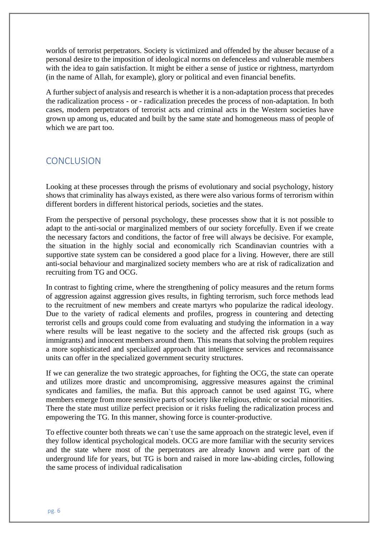worlds of terrorist perpetrators. Society is victimized and offended by the abuser because of a personal desire to the imposition of ideological norms on defenceless and vulnerable members with the idea to gain satisfaction. It might be either a sense of justice or rightness, martyrdom (in the name of Allah, for example), glory or political and even financial benefits.

A further subject of analysis and research is whether it is a non-adaptation process that precedes the radicalization process - or - radicalization precedes the process of non-adaptation. In both cases, modern perpetrators of terrorist acts and criminal acts in the Western societies have grown up among us, educated and built by the same state and homogeneous mass of people of which we are part too.

#### **CONCLUSION**

Looking at these processes through the prisms of evolutionary and social psychology, history shows that criminality has always existed, as there were also various forms of terrorism within different borders in different historical periods, societies and the states.

From the perspective of personal psychology, these processes show that it is not possible to adapt to the anti-social or marginalized members of our society forcefully. Even if we create the necessary factors and conditions, the factor of free will always be decisive. For example, the situation in the highly social and economically rich Scandinavian countries with a supportive state system can be considered a good place for a living. However, there are still anti-social behaviour and marginalized society members who are at risk of radicalization and recruiting from TG and OCG.

In contrast to fighting crime, where the strengthening of policy measures and the return forms of aggression against aggression gives results, in fighting terrorism, such force methods lead to the recruitment of new members and create martyrs who popularize the radical ideology. Due to the variety of radical elements and profiles, progress in countering and detecting terrorist cells and groups could come from evaluating and studying the information in a way where results will be least negative to the society and the affected risk groups (such as immigrants) and innocent members around them. This means that solving the problem requires a more sophisticated and specialized approach that intelligence services and reconnaissance units can offer in the specialized government security structures.

If we can generalize the two strategic approaches, for fighting the OCG, the state can operate and utilizes more drastic and uncompromising, aggressive measures against the criminal syndicates and families, the mafia. But this approach cannot be used against TG, where members emerge from more sensitive parts of society like religious, ethnic or social minorities. There the state must utilize perfect precision or it risks fueling the radicalization process and empowering the TG. In this manner, showing force is counter-productive.

To effective counter both threats we can`t use the same approach on the strategic level, even if they follow identical psychological models. OCG are more familiar with the security services and the state where most of the perpetrators are already known and were part of the underground life for years, but TG is born and raised in more law-abiding circles, following the same process of individual radicalisation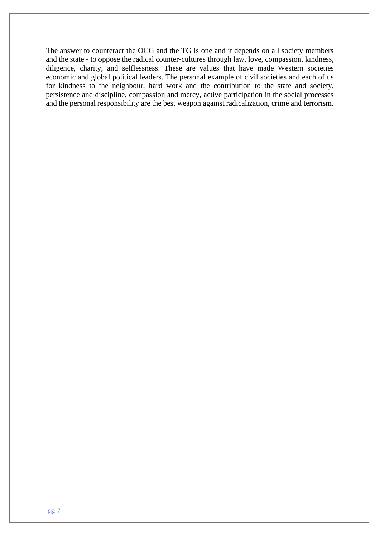The answer to counteract the OCG and the TG is one and it depends on all society members and the state - to oppose the radical counter-cultures through law, love, compassion, kindness, diligence, charity, and selflessness. These are values that have made Western societies economic and global political leaders. The personal example of civil societies and each of us for kindness to the neighbour, hard work and the contribution to the state and society, persistence and discipline, compassion and mercy, active participation in the social processes and the personal responsibility are the best weapon against radicalization, crime and terrorism.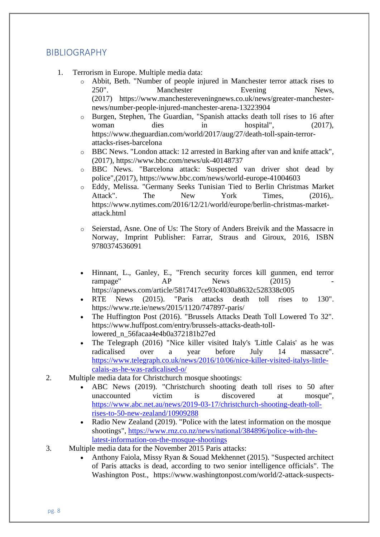#### BIBLIOGRAPHY

- 1. Terrorism in Europe. Multiple media data:
	- o Abbit, Beth. "Number of people injured in Manchester terror attack rises to 250". Manchester Evening News, (2017) https://www.manchestereveningnews.co.uk/news/greater-manchesternews/number-people-injured-manchester-arena-13223904
	- o Burgen, Stephen, The Guardian, "Spanish attacks death toll rises to 16 after woman dies in hospital",  $(2017)$ , https://www.theguardian.com/world/2017/aug/27/death-toll-spain-terrorattacks-rises-barcelona
	- o BBC News. "London attack: 12 arrested in Barking after van and knife attack", (2017), https://www.bbc.com/news/uk-40148737
	- o BBC News. "Barcelona attack: Suspected van driver shot dead by police",(2017), https://www.bbc.com/news/world-europe-41004603
	- o Eddy, Melissa. "Germany Seeks Tunisian Tied to Berlin Christmas Market Attack". The New York Times, (2016),. https://www.nytimes.com/2016/12/21/world/europe/berlin-christmas-marketattack.html
	- o Seierstad, Asne. One of Us: The Story of Anders Breivik and the Massacre in Norway, Imprint Publisher: Farrar, Straus and Giroux, 2016, ISBN 9780374536091
	- Hinnant, L., Ganley, E., "French security forces kill gunmen, end terror rampage" AP News (2015) https://apnews.com/article/5817417ce93c4030a8632c528338c005
	- RTE News (2015). "Paris attacks death toll rises to 130". https://www.rte.ie/news/2015/1120/747897-paris/
	- The Huffington Post (2016). "Brussels Attacks Death Toll Lowered To 32". https://www.huffpost.com/entry/brussels-attacks-death-tolllowered\_n\_56facaa4e4b0a372181b27ed
	- The Telegraph (2016) "Nice killer visited Italy's 'Little Calais' as he was radicalised over a year before July 14 massacre". [https://www.telegraph.co.uk/news/2016/10/06/nice-killer-visited-italys-little](https://www.telegraph.co.uk/news/2016/10/06/nice-killer-visited-italys-little-calais-as-he-was-radicalised-o/)[calais-as-he-was-radicalised-o/](https://www.telegraph.co.uk/news/2016/10/06/nice-killer-visited-italys-little-calais-as-he-was-radicalised-o/)
- 2. Multiple media data for Christchurch mosque shootings:
	- ABC News (2019). "Christchurch shooting death toll rises to 50 after unaccounted victim is discovered at mosque", [https://www.abc.net.au/news/2019-03-17/christchurch-shooting-death-toll](https://www.abc.net.au/news/2019-03-17/christchurch-shooting-death-toll-rises-to-50-new-zealand/10909288)[rises-to-50-new-zealand/10909288](https://www.abc.net.au/news/2019-03-17/christchurch-shooting-death-toll-rises-to-50-new-zealand/10909288)
	- Radio New Zealand (2019). "Police with the latest information on the mosque shootings", [https://www.rnz.co.nz/news/national/384896/police-with-the](https://www.rnz.co.nz/news/national/384896/police-with-the-latest-information-on-the-mosque-shootings)[latest-information-on-the-mosque-shootings](https://www.rnz.co.nz/news/national/384896/police-with-the-latest-information-on-the-mosque-shootings)
- 3. Multiple media data for the November 2015 Paris attacks:
	- Anthony Faiola, Missy Ryan & Souad Mekhennet (2015). "Suspected architect of Paris attacks is dead, according to two senior intelligence officials". The Washington Post., https://www.washingtonpost.com/world/2-attack-suspects-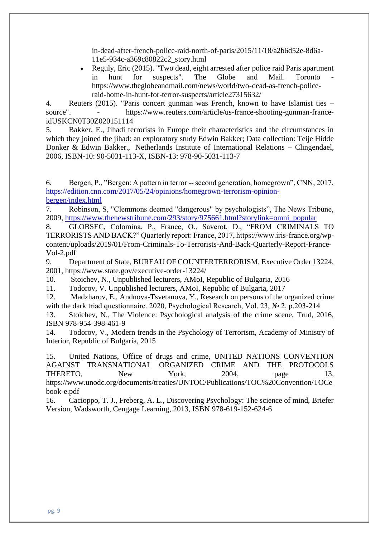in-dead-after-french-police-raid-north-of-paris/2015/11/18/a2b6d52e-8d6a-11e5-934c-a369c80822c2\_story.html

• Reguly, Eric (2015). "Two dead, eight arrested after police raid Paris apartment in hunt for suspects". The Globe and Mail. Toronto https://www.theglobeandmail.com/news/world/two-dead-as-french-policeraid-home-in-hunt-for-terror-suspects/article27315632/

4. Reuters (2015). "Paris concert gunman was French, known to have Islamist ties – source". - https://www.reuters.com/article/us-france-shooting-gunman-franceidUSKCN0T30Z020151114

5. Bakker, E., Jihadi terrorists in Europe their characteristics and the circumstances in which they joined the jihad: an exploratory study Edwin Bakker; Data collection: Teije Hidde Donker & Edwin Bakker., Netherlands Institute of International Relations – Clingendael, 2006, ISBN-10: 90-5031-113-X, ISBN-13: 978-90-5031-113-7

6. Bergen, P., "Bergen: A pattern in terror --second generation, homegrown", CNN, 2017, [https://edition.cnn.com/2017/05/24/opinions/homegrown-terrorism-opinion](https://edition.cnn.com/2017/05/24/opinions/homegrown-terrorism-opinion-bergen/index.html)[bergen/index.html](https://edition.cnn.com/2017/05/24/opinions/homegrown-terrorism-opinion-bergen/index.html)

7. Robinson, S, "Clemmons deemed "dangerous" by psychologists", The News Tribune, 2009, [https://www.thenewstribune.com/293/story/975661.html?storylink=omni\\_popular](https://www.thenewstribune.com/293/story/975661.html?storylink=omni_popular)

8. GLOBSEC, Colomina, P., France, O., Saverot, D., "FROM CRIMINALS TO TERRORISTS AND BACK?" Quarterly report: France, 2017, https://www.iris-france.org/wpcontent/uploads/2019/01/From-Criminals-To-Terrorists-And-Back-Quarterly-Report-France-Vol-2.pdf

9. Department of State, BUREAU OF COUNTERTERRORISM, Executive Order 13224, 2001,<https://www.state.gov/executive-order-13224/>

10. Stoichev, N., Unpublished lecturers, AMoI, Republic of Bulgaria, 2016

11. Todorov, V. Unpublished lecturers, AMoI, Republic of Bulgaria, 2017

12. Madzharov, E., Andnova-Tsvetanova, Y., Research on persons of the organized crime with the dark triad questionnaire. 2020, Psychological Research, Vol. 23, № 2, p.203-214

13. Stoichev, N., The Violence: Psychological analysis of the crime scene, Trud, 2016, ISBN 978-954-398-461-9

14. Todorov, V., Modern trends in the Psychology of Terrorism, Academy of Ministry of Interior, Republic of Bulgaria, 2015

15. United Nations, Office of drugs and crime, UNITED NATIONS CONVENTION AGAINST TRANSNATIONAL ORGANIZED CRIME AND THE PROTOCOLS THERETO, New York, 2004, page 13, [https://www.unodc.org/documents/treaties/UNTOC/Publications/TOC%20Convention/TOCe](https://www.unodc.org/documents/treaties/UNTOC/Publications/TOC%20Convention/TOCebook-e.pdf) [book-e.pdf](https://www.unodc.org/documents/treaties/UNTOC/Publications/TOC%20Convention/TOCebook-e.pdf)

16. Cacioppo, T. J., Freberg, A. L., Discovering Psychology: The science of mind, Briefer Version, Wadsworth, Cengage Learning, 2013, ISBN 978-619-152-624-6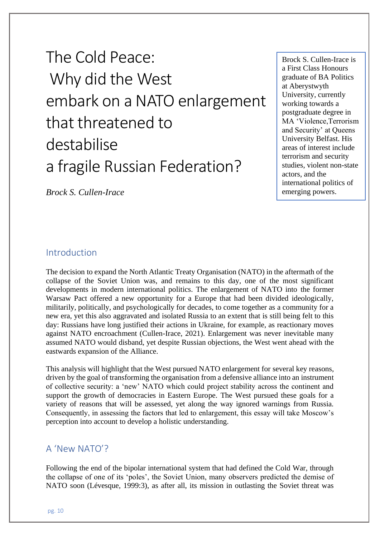The Cold Peace: Why did the West embark on a NATO enlargement that threatened to destabilise a fragile Russian Federation?

Brock S. Cullen-Irace is a First Class Honours graduate of BA Politics at Aberystwyth University, currently working towards a postgraduate degree in MA 'Violence,Terrorism and Security' at Queens University Belfast. His areas of interest include terrorism and security studies, violent non-state actors, and the international politics of emerging powers.

*Brock S. Cullen-Irace*

#### Introduction

The decision to expand the North Atlantic Treaty Organisation (NATO) in the aftermath of the collapse of the Soviet Union was, and remains to this day, one of the most significant developments in modern international politics. The enlargement of NATO into the former Warsaw Pact offered a new opportunity for a Europe that had been divided ideologically, militarily, politically, and psychologically for decades, to come together as a community for a new era, yet this also aggravated and isolated Russia to an extent that is still being felt to this day: Russians have long justified their actions in Ukraine, for example, as reactionary moves against NATO encroachment (Cullen-Irace, 2021). Enlargement was never inevitable many assumed NATO would disband, yet despite Russian objections, the West went ahead with the eastwards expansion of the Alliance.

This analysis will highlight that the West pursued NATO enlargement for several key reasons, driven by the goal of transforming the organisation from a defensive alliance into an instrument of collective security: a 'new' NATO which could project stability across the continent and support the growth of democracies in Eastern Europe. The West pursued these goals for a variety of reasons that will be assessed, yet along the way ignored warnings from Russia. Consequently, in assessing the factors that led to enlargement, this essay will take Moscow's perception into account to develop a holistic understanding.

#### A 'New NATO'?

Following the end of the bipolar international system that had defined the Cold War, through the collapse of one of its 'poles', the Soviet Union, many observers predicted the demise of NATO soon (Lévesque, 1999:3), as after all, its mission in outlasting the Soviet threat was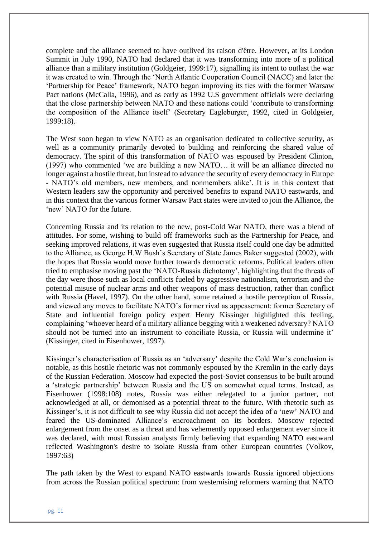complete and the alliance seemed to have outlived its raison d'être. However, at its London Summit in July 1990, NATO had declared that it was transforming into more of a political alliance than a military institution (Goldgeier, 1999:17), signalling its intent to outlast the war it was created to win. Through the 'North Atlantic Cooperation Council (NACC) and later the 'Partnership for Peace' framework, NATO began improving its ties with the former Warsaw Pact nations (McCalla, 1996), and as early as 1992 U.S government officials were declaring that the close partnership between NATO and these nations could 'contribute to transforming the composition of the Alliance itself' (Secretary Eagleburger, 1992, cited in Goldgeier, 1999:18).

The West soon began to view NATO as an organisation dedicated to collective security, as well as a community primarily devoted to building and reinforcing the shared value of democracy. The spirit of this transformation of NATO was espoused by President Clinton, (1997) who commented 'we are building a new NATO… it will be an alliance directed no longer against a hostile threat, but instead to advance the security of every democracy in Europe - NATO's old members, new members, and nonmembers alike'. It is in this context that Western leaders saw the opportunity and perceived benefits to expand NATO eastwards, and in this context that the various former Warsaw Pact states were invited to join the Alliance, the 'new' NATO for the future.

Concerning Russia and its relation to the new, post-Cold War NATO, there was a blend of attitudes. For some, wishing to build off frameworks such as the Partnership for Peace, and seeking improved relations, it was even suggested that Russia itself could one day be admitted to the Alliance, as George H.W Bush's Secretary of State James Baker suggested (2002), with the hopes that Russia would move further towards democratic reforms. Political leaders often tried to emphasise moving past the 'NATO-Russia dichotomy', highlighting that the threats of the day were those such as local conflicts fueled by aggressive nationalism, terrorism and the potential misuse of nuclear arms and other weapons of mass destruction, rather than conflict with Russia (Havel, 1997). On the other hand, some retained a hostile perception of Russia, and viewed any moves to facilitate NATO's former rival as appeasement: former Secretary of State and influential foreign policy expert Henry Kissinger highlighted this feeling, complaining 'whoever heard of a military alliance begging with a weakened adversary? NATO should not be turned into an instrument to conciliate Russia, or Russia will undermine it' (Kissinger, cited in Eisenhower, 1997).

Kissinger's characterisation of Russia as an 'adversary' despite the Cold War's conclusion is notable, as this hostile rhetoric was not commonly espoused by the Kremlin in the early days of the Russian Federation. Moscow had expected the post-Soviet consensus to be built around a 'strategic partnership' between Russia and the US on somewhat equal terms. Instead, as Eisenhower (1998:108) notes, Russia was either relegated to a junior partner, not acknowledged at all, or demonised as a potential threat to the future. With rhetoric such as Kissinger's, it is not difficult to see why Russia did not accept the idea of a 'new' NATO and feared the US-dominated Alliance's encroachment on its borders. Moscow rejected enlargement from the onset as a threat and has vehemently opposed enlargement ever since it was declared, with most Russian analysts firmly believing that expanding NATO eastward reflected Washington's desire to isolate Russia from other European countries (Volkov, 1997:63)

The path taken by the West to expand NATO eastwards towards Russia ignored objections from across the Russian political spectrum: from westernising reformers warning that NATO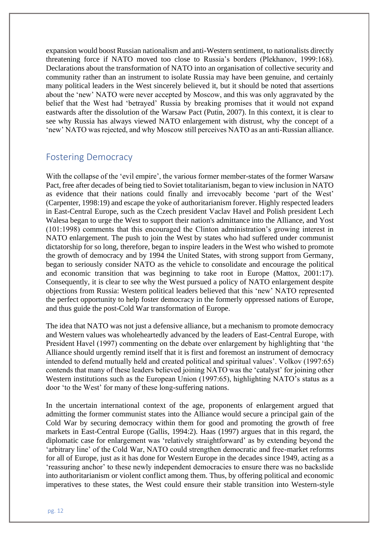expansion would boost Russian nationalism and anti-Western sentiment, to nationalists directly threatening force if NATO moved too close to Russia's borders (Plekhanov, 1999:168). Declarations about the transformation of NATO into an organisation of collective security and community rather than an instrument to isolate Russia may have been genuine, and certainly many political leaders in the West sincerely believed it, but it should be noted that assertions about the 'new' NATO were never accepted by Moscow, and this was only aggravated by the belief that the West had 'betrayed' Russia by breaking promises that it would not expand eastwards after the dissolution of the Warsaw Pact (Putin, 2007). In this context, it is clear to see why Russia has always viewed NATO enlargement with distrust, why the concept of a 'new' NATO was rejected, and why Moscow still perceives NATO as an anti-Russian alliance.

#### Fostering Democracy

With the collapse of the 'evil empire', the various former member-states of the former Warsaw Pact, free after decades of being tied to Soviet totalitarianism, began to view inclusion in NATO as evidence that their nations could finally and irrevocably become 'part of the West' (Carpenter, 1998:19) and escape the yoke of authoritarianism forever. Highly respected leaders in East-Central Europe, such as the Czech president Vaclav Havel and Polish president Lech Walesa began to urge the West to support their nation's admittance into the Alliance, and Yost (101:1998) comments that this encouraged the Clinton administration's growing interest in NATO enlargement. The push to join the West by states who had suffered under communist dictatorship for so long, therefore, began to inspire leaders in the West who wished to promote the growth of democracy and by 1994 the United States, with strong support from Germany, began to seriously consider NATO as the vehicle to consolidate and encourage the political and economic transition that was beginning to take root in Europe (Mattox, 2001:17). Consequently, it is clear to see why the West pursued a policy of NATO enlargement despite objections from Russia: Western political leaders believed that this 'new' NATO represented the perfect opportunity to help foster democracy in the formerly oppressed nations of Europe, and thus guide the post-Cold War transformation of Europe.

The idea that NATO was not just a defensive alliance, but a mechanism to promote democracy and Western values was wholeheartedly advanced by the leaders of East-Central Europe, with President Havel (1997) commenting on the debate over enlargement by highlighting that 'the Alliance should urgently remind itself that it is first and foremost an instrument of democracy intended to defend mutually held and created political and spiritual values'. Volkov (1997:65) contends that many of these leaders believed joining NATO was the 'catalyst' for joining other Western institutions such as the European Union (1997:65), highlighting NATO's status as a door 'to the West' for many of these long-suffering nations.

In the uncertain international context of the age, proponents of enlargement argued that admitting the former communist states into the Alliance would secure a principal gain of the Cold War by securing democracy within them for good and promoting the growth of free markets in East-Central Europe (Gallis, 1994:2). Haas (1997) argues that in this regard, the diplomatic case for enlargement was 'relatively straightforward' as by extending beyond the 'arbitrary line' of the Cold War, NATO could strengthen democratic and free-market reforms for all of Europe, just as it has done for Western Europe in the decades since 1949, acting as a 'reassuring anchor' to these newly independent democracies to ensure there was no backslide into authoritarianism or violent conflict among them. Thus, by offering political and economic imperatives to these states, the West could ensure their stable transition into Western-style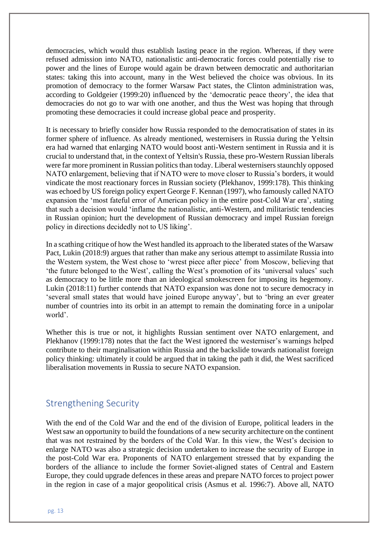democracies, which would thus establish lasting peace in the region. Whereas, if they were refused admission into NATO, nationalistic anti-democratic forces could potentially rise to power and the lines of Europe would again be drawn between democratic and authoritarian states: taking this into account, many in the West believed the choice was obvious. In its promotion of democracy to the former Warsaw Pact states, the Clinton administration was, according to Goldgeier (1999:20) influenced by the 'democratic peace theory', the idea that democracies do not go to war with one another, and thus the West was hoping that through promoting these democracies it could increase global peace and prosperity.

It is necessary to briefly consider how Russia responded to the democratisation of states in its former sphere of influence. As already mentioned, westernisers in Russia during the Yeltsin era had warned that enlarging NATO would boost anti-Western sentiment in Russia and it is crucial to understand that, in the context of Yeltsin's Russia, these pro-Western Russian liberals were far more prominent in Russian politics than today. Liberal westernisers staunchly opposed NATO enlargement, believing that if NATO were to move closer to Russia's borders, it would vindicate the most reactionary forces in Russian society (Plekhanov, 1999:178). This thinking was echoed by US foreign policy expert George F. Kennan (1997), who famously called NATO expansion the 'most fateful error of American policy in the entire post-Cold War era', stating that such a decision would 'inflame the nationalistic, anti-Western, and militaristic tendencies in Russian opinion; hurt the development of Russian democracy and impel Russian foreign policy in directions decidedly not to US liking'.

In a scathing critique of how the West handled its approach to the liberated states of the Warsaw Pact, Lukin (2018:9) argues that rather than make any serious attempt to assimilate Russia into the Western system, the West chose to 'wrest piece after piece' from Moscow, believing that 'the future belonged to the West', calling the West's promotion of its 'universal values' such as democracy to be little more than an ideological smokescreen for imposing its hegemony. Lukin (2018:11) further contends that NATO expansion was done not to secure democracy in 'several small states that would have joined Europe anyway', but to 'bring an ever greater number of countries into its orbit in an attempt to remain the dominating force in a unipolar world'.

Whether this is true or not, it highlights Russian sentiment over NATO enlargement, and Plekhanov (1999:178) notes that the fact the West ignored the westerniser's warnings helped contribute to their marginalisation within Russia and the backslide towards nationalist foreign policy thinking: ultimately it could be argued that in taking the path it did, the West sacrificed liberalisation movements in Russia to secure NATO expansion.

#### Strengthening Security

With the end of the Cold War and the end of the division of Europe, political leaders in the West saw an opportunity to build the foundations of a new security architecture on the continent that was not restrained by the borders of the Cold War. In this view, the West's decision to enlarge NATO was also a strategic decision undertaken to increase the security of Europe in the post-Cold War era. Proponents of NATO enlargement stressed that by expanding the borders of the alliance to include the former Soviet-aligned states of Central and Eastern Europe, they could upgrade defences in these areas and prepare NATO forces to project power in the region in case of a major geopolitical crisis (Asmus et al. 1996:7). Above all, NATO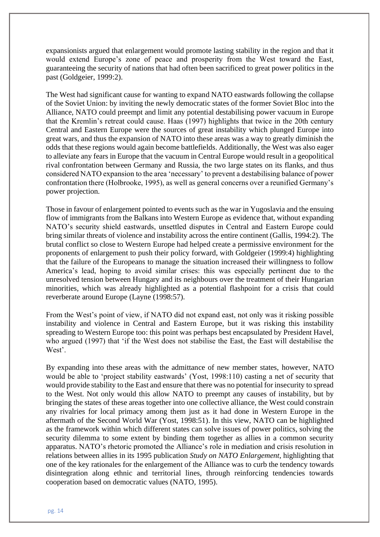expansionists argued that enlargement would promote lasting stability in the region and that it would extend Europe's zone of peace and prosperity from the West toward the East, guaranteeing the security of nations that had often been sacrificed to great power politics in the past (Goldgeier, 1999:2).

The West had significant cause for wanting to expand NATO eastwards following the collapse of the Soviet Union: by inviting the newly democratic states of the former Soviet Bloc into the Alliance, NATO could preempt and limit any potential destabilising power vacuum in Europe that the Kremlin's retreat could cause. Haas (1997) highlights that twice in the 20th century Central and Eastern Europe were the sources of great instability which plunged Europe into great wars, and thus the expansion of NATO into these areas was a way to greatly diminish the odds that these regions would again become battlefields. Additionally, the West was also eager to alleviate any fears in Europe that the vacuum in Central Europe would result in a geopolitical rival confrontation between Germany and Russia, the two large states on its flanks, and thus considered NATO expansion to the area 'necessary' to prevent a destabilising balance of power confrontation there (Holbrooke, 1995), as well as general concerns over a reunified Germany's power projection.

Those in favour of enlargement pointed to events such as the war in Yugoslavia and the ensuing flow of immigrants from the Balkans into Western Europe as evidence that, without expanding NATO's security shield eastwards, unsettled disputes in Central and Eastern Europe could bring similar threats of violence and instability across the entire continent (Gallis, 1994:2). The brutal conflict so close to Western Europe had helped create a permissive environment for the proponents of enlargement to push their policy forward, with Goldgeier (1999:4) highlighting that the failure of the Europeans to manage the situation increased their willingness to follow America's lead, hoping to avoid similar crises: this was especially pertinent due to the unresolved tension between Hungary and its neighbours over the treatment of their Hungarian minorities, which was already highlighted as a potential flashpoint for a crisis that could reverberate around Europe (Layne (1998:57).

From the West's point of view, if NATO did not expand east, not only was it risking possible instability and violence in Central and Eastern Europe, but it was risking this instability spreading to Western Europe too: this point was perhaps best encapsulated by President Havel, who argued (1997) that 'if the West does not stabilise the East, the East will destabilise the West'.

By expanding into these areas with the admittance of new member states, however, NATO would be able to 'project stability eastwards' (Yost, 1998:110) casting a net of security that would provide stability to the East and ensure that there was no potential for insecurity to spread to the West. Not only would this allow NATO to preempt any causes of instability, but by bringing the states of these areas together into one collective alliance, the West could constrain any rivalries for local primacy among them just as it had done in Western Europe in the aftermath of the Second World War (Yost, 1998:51). In this view, NATO can be highlighted as the framework within which different states can solve issues of power politics, solving the security dilemma to some extent by binding them together as allies in a common security apparatus. NATO's rhetoric promoted the Alliance's role in mediation and crisis resolution in relations between allies in its 1995 publication *Study on NATO Enlargement*, highlighting that one of the key rationales for the enlargement of the Alliance was to curb the tendency towards disintegration along ethnic and territorial lines, through reinforcing tendencies towards cooperation based on democratic values (NATO, 1995).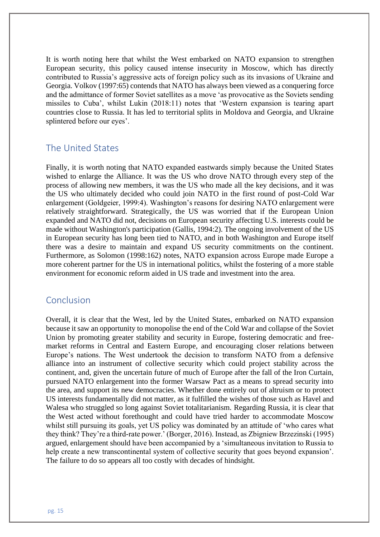It is worth noting here that whilst the West embarked on NATO expansion to strengthen European security, this policy caused intense insecurity in Moscow, which has directly contributed to Russia's aggressive acts of foreign policy such as its invasions of Ukraine and Georgia. Volkov (1997:65) contends that NATO has always been viewed as a conquering force and the admittance of former Soviet satellites as a move 'as provocative as the Soviets sending missiles to Cuba', whilst Lukin (2018:11) notes that 'Western expansion is tearing apart countries close to Russia. It has led to territorial splits in Moldova and Georgia, and Ukraine splintered before our eyes'.

### The United States

Finally, it is worth noting that NATO expanded eastwards simply because the United States wished to enlarge the Alliance. It was the US who drove NATO through every step of the process of allowing new members, it was the US who made all the key decisions, and it was the US who ultimately decided who could join NATO in the first round of post-Cold War enlargement (Goldgeier, 1999:4). Washington's reasons for desiring NATO enlargement were relatively straightforward. Strategically, the US was worried that if the European Union expanded and NATO did not, decisions on European security affecting U.S. interests could be made without Washington's participation (Gallis, 1994:2). The ongoing involvement of the US in European security has long been tied to NATO, and in both Washington and Europe itself there was a desire to maintain and expand US security commitments on the continent. Furthermore, as Solomon (1998:162) notes, NATO expansion across Europe made Europe a more coherent partner for the US in international politics, whilst the fostering of a more stable environment for economic reform aided in US trade and investment into the area.

#### Conclusion

Overall, it is clear that the West, led by the United States, embarked on NATO expansion because it saw an opportunity to monopolise the end of the Cold War and collapse of the Soviet Union by promoting greater stability and security in Europe, fostering democratic and freemarket reforms in Central and Eastern Europe, and encouraging closer relations between Europe's nations. The West undertook the decision to transform NATO from a defensive alliance into an instrument of collective security which could project stability across the continent, and, given the uncertain future of much of Europe after the fall of the Iron Curtain, pursued NATO enlargement into the former Warsaw Pact as a means to spread security into the area, and support its new democracies. Whether done entirely out of altruism or to protect US interests fundamentally did not matter, as it fulfilled the wishes of those such as Havel and Walesa who struggled so long against Soviet totalitarianism. Regarding Russia, it is clear that the West acted without forethought and could have tried harder to accommodate Moscow whilst still pursuing its goals, yet US policy was dominated by an attitude of 'who cares what they think? They're a third-rate power.' (Borger, 2016). Instead, as Zbigniew Brzezinski (1995) argued, enlargement should have been accompanied by a 'simultaneous invitation to Russia to help create a new transcontinental system of collective security that goes beyond expansion'. The failure to do so appears all too costly with decades of hindsight.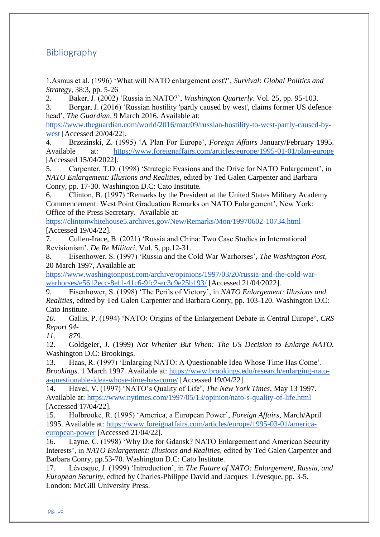# Bibliography

1.Asmus et al. (1996) 'What will NATO enlargement cost?', *Survival: Global Politics and Strategy*, 38:3, pp. 5-26

2. Baker, J. (2002) 'Russia in NATO?', *Washington Quarterly.* Vol. 25, pp. 95-103.

3. Borgar, J. (2016) 'Russian hostility 'partly caused by west', claims former US defence head', *The Guardian*, 9 March 2016. Available at:

[https://www.theguardian.com/world/2016/mar/09/russian-hostility-to-west-partly-caused-by](https://www.theguardian.com/world/2016/mar/09/russian-hostility-to-west-partly-caused-by-west)[west](https://www.theguardian.com/world/2016/mar/09/russian-hostility-to-west-partly-caused-by-west) [Accessed 20/04/22].

4. Brzezinski, Z. (1995) 'A Plan For Europe', *Foreign Affairs* January/February 1995. Available at: <https://www.foreignaffairs.com/articles/europe/1995-01-01/plan-europe> [Accessed 15/04/2022].

5. Carpenter, T.D. (1998) 'Strategic Evasions and the Drive for NATO Enlargement', in *NATO Enlargement: Illusions and Realities*, edited by Ted Galen Carpenter and Barbara Conry, pp. 17-30. Washington D.C: Cato Institute.

6. Clinton, B. (1997) 'Remarks by the President at the United States Military Academy Commencement: West Point Graduation Remarks on NATO Enlargement', New York: Office of the Press Secretary. Available at:

<https://clintonwhitehouse5.archives.gov/New/Remarks/Mon/19970602-10734.html> [Accessed 19/04/22].

7. Cullen-Irace, B. (2021) 'Russia and China: Two Case Studies in International Revisionism', *De Re Militari,* Vol. 5, pp.12-31.

8. Eisenhower, S. (1997) 'Russia and the Cold War Warhorses', *The Washington Post,* 20 March 1997, Available at:

[https://www.washingtonpost.com/archive/opinions/1997/03/20/russia-and-the-cold-war](https://www.washingtonpost.com/archive/opinions/1997/03/20/russia-and-the-cold-war-warhorses/e5612ecc-8ef1-41c6-9fc2-ec3c9e25b193/)[warhorses/e5612ecc-8ef1-41c6-9fc2-ec3c9e25b193/](https://www.washingtonpost.com/archive/opinions/1997/03/20/russia-and-the-cold-war-warhorses/e5612ecc-8ef1-41c6-9fc2-ec3c9e25b193/) [Accessed 21/04/2022].

9. Eisenhower, S. (1998) 'The Perils of Victory', in *NATO Enlargement: Illusions and Realities,* edited by Ted Galen Carpenter and Barbara Conry, pp. 103-120. Washington D.C: Cato Institute.

*10.* Gallis, P. (1994) 'NATO: Origins of the Enlargement Debate in Central Europe', *CRS Report 94-*

*11. 879.*

12. Goldgeier, J. (1999) *Not Whether But When: The US Decision to Enlarge NATO.* Washington D.C: Brookings.

13. Haas, R. (1997) 'Enlarging NATO: A Questionable Idea Whose Time Has Come'. *Brookings*. 1 March 1997. Available at: [https://www.brookings.edu/research/enlarging-nato](https://www.brookings.edu/research/enlarging-nato-a-questionable-idea-whose-time-has-come/)[a-questionable-idea-whose-time-has-come/](https://www.brookings.edu/research/enlarging-nato-a-questionable-idea-whose-time-has-come/) [Accessed 19/04/22].

14. Havel, V. (1997) 'NATO's Quality of Life', *The New York Times*, May 13 1997. Available at:<https://www.nytimes.com/1997/05/13/opinion/nato-s-quality-of-life.html> [Accessed 17/04/22].

15. Holbrooke, R. (1995) 'America, a European Power', *Foreign Affairs,* March/April 1995. Available at: [https://www.foreignaffairs.com/articles/europe/1995-03-01/america](https://www.foreignaffairs.com/articles/europe/1995-03-01/america-european-power)[european-power](https://www.foreignaffairs.com/articles/europe/1995-03-01/america-european-power) [Accessed 21/04/22].

16. Layne, C. (1998) 'Why Die for Gdansk? NATO Enlargement and American Security Interests', in *NATO Enlargement: Illusions and Realities,* edited by Ted Galen Carpenter and Barbara Conry, pp.53-70. Washington D.C: Cato Institute.

17. Lévesque, J. (1999) 'Introduction', in *The Future of NATO: Enlargement, Russia, and European Security*, edited by Charles-Philippe David and Jacques Lévesque, pp. 3-5. London: McGill University Press.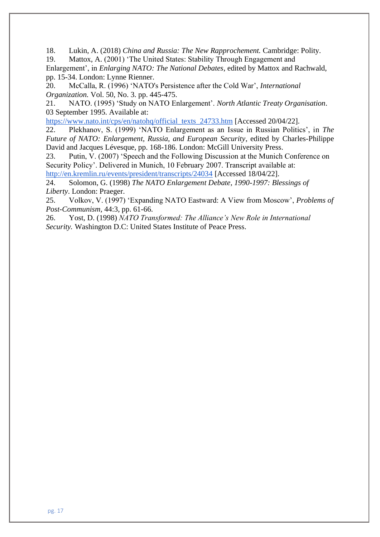18. Lukin, A. (2018) *China and Russia: The New Rapprochement.* Cambridge: Polity. 19. Mattox, A. (2001) 'The United States: Stability Through Engagement and

Enlargement', in *Enlarging NATO: The National Debates*, edited by Mattox and Rachwald, pp. 15-34. London: Lynne Rienner.

20. McCalla, R. (1996) 'NATO's Persistence after the Cold War', *International Organization.* Vol. 50, No. 3. pp. 445-475.

21. NATO. (1995) 'Study on NATO Enlargement'. *North Atlantic Treaty Organisation*. 03 September 1995. Available at:

[https://www.nato.int/cps/en/natohq/official\\_texts\\_24733.htm](https://www.nato.int/cps/en/natohq/official_texts_24733.htm) [Accessed 20/04/22].

22. Plekhanov, S. (1999) 'NATO Enlargement as an Issue in Russian Politics', in *The Future of NATO: Enlargement, Russia, and European Security*, edited by Charles-Philippe David and Jacques Lévesque, pp. 168-186. London: McGill University Press.

23. Putin, V. (2007) 'Speech and the Following Discussion at the Munich Conference on Security Policy'. Delivered in Munich, 10 February 2007. Transcript available at:

<http://en.kremlin.ru/events/president/transcripts/24034> [Accessed 18/04/22].

24. Solomon, G. (1998) *The NATO Enlargement Debate, 1990-1997: Blessings of Liberty*. London: Praeger.

25. Volkov, V. (1997) 'Expanding NATO Eastward: A View from Moscow', *Problems of Post-Communism,* 44:3, pp. 61-66.

26. Yost, D. (1998) *NATO Transformed: The Alliance's New Role in International Security.* Washington D.C: United States Institute of Peace Press.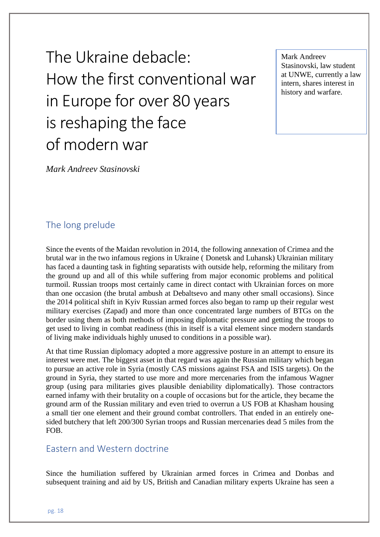The Ukraine debacle: How the first conventional war in Europe for over 80 years is reshaping the face of modern war

Mark Andreev Stasinovski, law student at UNWE, currently a law intern, shares interest in history and warfare.

*Mark Andreev Stasinovski*

# The long prelude

Since the events of the Maidan revolution in 2014, the following annexation of Crimea and the brutal war in the two infamous regions in Ukraine ( Donetsk and Luhansk) Ukrainian military has faced a daunting task in fighting separatists with outside help, reforming the military from the ground up and all of this while suffering from major economic problems and political turmoil. Russian troops most certainly came in direct contact with Ukrainian forces on more than one occasion (the brutal ambush at Debaltsevo and many other small occasions). Since the 2014 political shift in Kyiv Russian armed forces also began to ramp up their regular west military exercises (Zapad) and more than once concentrated large numbers of BTGs on the border using them as both methods of imposing diplomatic pressure and getting the troops to get used to living in combat readiness (this in itself is a vital element since modern standards of living make individuals highly unused to conditions in a possible war).

At that time Russian diplomacy adopted a more aggressive posture in an attempt to ensure its interest were met. The biggest asset in that regard was again the Russian military which began to pursue an active role in Syria (mostly CAS missions against FSA and ISIS targets). On the ground in Syria, they started to use more and more mercenaries from the infamous Wagner group (using para militaries gives plausible deniability diplomatically). Those contractors earned infamy with their brutality on a couple of occasions but for the article, they became the ground arm of the Russian military and even tried to overrun a US FOB at Khasham housing a small tier one element and their ground combat controllers. That ended in an entirely onesided butchery that left 200/300 Syrian troops and Russian mercenaries dead 5 miles from the FOB.

#### Eastern and Western doctrine

Since the humiliation suffered by Ukrainian armed forces in Crimea and Donbas and subsequent training and aid by US, British and Canadian military experts Ukraine has seen a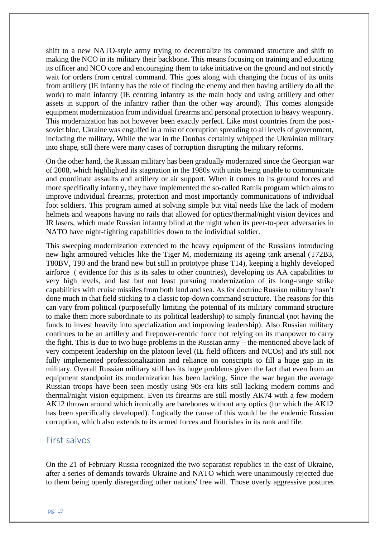shift to a new NATO-style army trying to decentralize its command structure and shift to making the NCO in its military their backbone. This means focusing on training and educating its officer and NCO core and encouraging them to take initiative on the ground and not strictly wait for orders from central command. This goes along with changing the focus of its units from artillery (IE infantry has the role of finding the enemy and then having artillery do all the work) to main infantry (IE centring infantry as the main body and using artillery and other assets in support of the infantry rather than the other way around). This comes alongside equipment modernization from individual firearms and personal protection to heavy weaponry. This modernization has not however been exactly perfect. Like most countries from the postsoviet bloc, Ukraine was engulfed in a mist of corruption spreading to all levels of government, including the military. While the war in the Donbas certainly whipped the Ukrainian military into shape, still there were many cases of corruption disrupting the military reforms.

On the other hand, the Russian military has been gradually modernized since the Georgian war of 2008, which highlighted its stagnation in the 1980s with units being unable to communicate and coordinate assaults and artillery or air support. When it comes to its ground forces and more specifically infantry, they have implemented the so-called Ratnik program which aims to improve individual firearms, protection and most importantly communications of individual foot soldiers. This program aimed at solving simple but vital needs like the lack of modern helmets and weapons having no rails that allowed for optics/thermal/night vision devices and IR lasers, which made Russian infantry blind at the night when its peer-to-peer adversaries in NATO have night-fighting capabilities down to the individual soldier.

This sweeping modernization extended to the heavy equipment of the Russians introducing new light armoured vehicles like the Tiger M, modernizing its ageing tank arsenal (T72B3, T80BV, T90 and the brand new but still in prototype phase T14), keeping a highly developed airforce ( evidence for this is its sales to other countries), developing its AA capabilities to very high levels, and last but not least pursuing modernization of its long-range strike capabilities with cruise missiles from both land and sea. As for doctrine Russian military hasn't done much in that field sticking to a classic top-down command structure. The reasons for this can vary from political (purposefully limiting the potential of its military command structure to make them more subordinate to its political leadership) to simply financial (not having the funds to invest heavily into specialization and improving leadership). Also Russian military continues to be an artillery and firepower-centric force not relying on its manpower to carry the fight. This is due to two huge problems in the Russian army – the mentioned above lack of very competent leadership on the platoon level (IE field officers and NCOs) and it's still not fully implemented professionalization and reliance on conscripts to fill a huge gap in its military. Overall Russian military still has its huge problems given the fact that even from an equipment standpoint its modernization has been lacking. Since the war began the average Russian troops have been seen mostly using 90s-era kits still lacking modern comms and thermal/night vision equipment. Even its firearms are still mostly AK74 with a few modern AK12 thrown around which ironically are barebones without any optics (for which the AK12 has been specifically developed). Logically the cause of this would be the endemic Russian corruption, which also extends to its armed forces and flourishes in its rank and file.

#### First salvos

On the 21 of February Russia recognized the two separatist republics in the east of Ukraine, after a series of demands towards Ukraine and NATO which were unanimously rejected due to them being openly disregarding other nations' free will. Those overly aggressive postures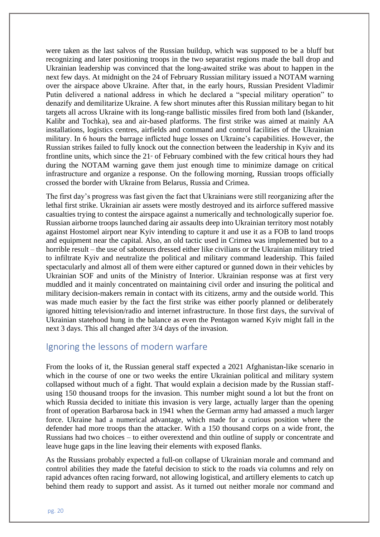were taken as the last salvos of the Russian buildup, which was supposed to be a bluff but recognizing and later positioning troops in the two separatist regions made the ball drop and Ukrainian leadership was convinced that the long-awaited strike was about to happen in the next few days. At midnight on the 24 of February Russian military issued a NOTAM warning over the airspace above Ukraine. After that, in the early hours, Russian President Vladimir Putin delivered a national address in which he declared a "special military operation" to denazify and demilitarize Ukraine. A few short minutes after this Russian military began to hit targets all across Ukraine with its long-range ballistic missiles fired from both land (Iskander, Kalibr and Tochka), sea and air-based platforms. The first strike was aimed at mainly AA installations, logistics centres, airfields and command and control facilities of the Ukrainian military. In 6 hours the barrage inflicted huge losses on Ukraine's capabilities. However, the Russian strikes failed to fully knock out the connection between the leadership in Kyiv and its frontline units, which since the  $21$ <sup>st</sup> of February combined with the few critical hours they had during the NOTAM warning gave them just enough time to minimize damage on critical infrastructure and organize a response. On the following morning, Russian troops officially crossed the border with Ukraine from Belarus, Russia and Crimea.

The first day's progress was fast given the fact that Ukrainians were still reorganizing after the lethal first strike. Ukrainian air assets were mostly destroyed and its airforce suffered massive casualties trying to contest the airspace against a numerically and technologically superior foe. Russian airborne troops launched daring air assaults deep into Ukrainian territory most notably against Hostomel airport near Kyiv intending to capture it and use it as a FOB to land troops and equipment near the capital. Also, an old tactic used in Crimea was implemented but to a horrible result – the use of saboteurs dressed either like civilians or the Ukrainian military tried to infiltrate Kyiv and neutralize the political and military command leadership. This failed spectacularly and almost all of them were either captured or gunned down in their vehicles by Ukrainian SOF and units of the Ministry of Interior. Ukrainian response was at first very muddled and it mainly concentrated on maintaining civil order and insuring the political and military decision-makers remain in contact with its citizens, army and the outside world. This was made much easier by the fact the first strike was either poorly planned or deliberately ignored hitting television/radio and internet infrastructure. In those first days, the survival of Ukrainian statehood hung in the balance as even the Pentagon warned Kyiv might fall in the next 3 days. This all changed after 3/4 days of the invasion.

### Ignoring the lessons of modern warfare

From the looks of it, the Russian general staff expected a 2021 Afghanistan-like scenario in which in the course of one or two weeks the entire Ukrainian political and military system collapsed without much of a fight. That would explain a decision made by the Russian staffusing 150 thousand troops for the invasion. This number might sound a lot but the front on which Russia decided to initiate this invasion is very large, actually larger than the opening front of operation Barbarosa back in 1941 when the German army had amassed a much larger force. Ukraine had a numerical advantage, which made for a curious position where the defender had more troops than the attacker. With a 150 thousand corps on a wide front, the Russians had two choices – to either overextend and thin outline of supply or concentrate and leave huge gaps in the line leaving their elements with exposed flanks.

As the Russians probably expected a full-on collapse of Ukrainian morale and command and control abilities they made the fateful decision to stick to the roads via columns and rely on rapid advances often racing forward, not allowing logistical, and artillery elements to catch up behind them ready to support and assist. As it turned out neither morale nor command and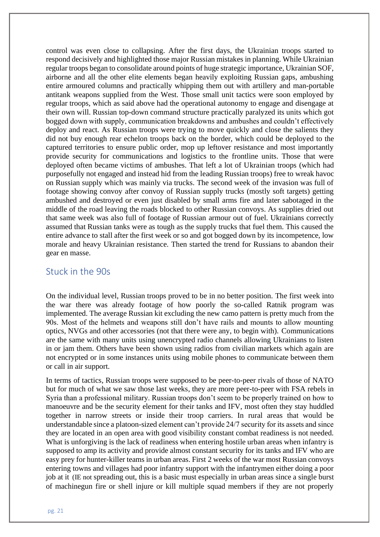control was even close to collapsing. After the first days, the Ukrainian troops started to respond decisively and highlighted those major Russian mistakes in planning. While Ukrainian regular troops began to consolidate around points of huge strategic importance, Ukrainian SOF, airborne and all the other elite elements began heavily exploiting Russian gaps, ambushing entire armoured columns and practically whipping them out with artillery and man-portable antitank weapons supplied from the West. Those small unit tactics were soon employed by regular troops, which as said above had the operational autonomy to engage and disengage at their own will. Russian top-down command structure practically paralyzed its units which got bogged down with supply, communication breakdowns and ambushes and couldn't effectively deploy and react. As Russian troops were trying to move quickly and close the salients they did not buy enough rear echelon troops back on the border, which could be deployed to the captured territories to ensure public order, mop up leftover resistance and most importantly provide security for communications and logistics to the frontline units. Those that were deployed often became victims of ambushes. That left a lot of Ukrainian troops (which had purposefully not engaged and instead hid from the leading Russian troops) free to wreak havoc on Russian supply which was mainly via trucks. The second week of the invasion was full of footage showing convoy after convoy of Russian supply trucks (mostly soft targets) getting ambushed and destroyed or even just disabled by small arms fire and later sabotaged in the middle of the road leaving the roads blocked to other Russian convoys. As supplies dried out that same week was also full of footage of Russian armour out of fuel. Ukrainians correctly assumed that Russian tanks were as tough as the supply trucks that fuel them. This caused the entire advance to stall after the first week or so and got bogged down by its incompetence, low morale and heavy Ukrainian resistance. Then started the trend for Russians to abandon their gear en masse.

#### Stuck in the 90s

On the individual level, Russian troops proved to be in no better position. The first week into the war there was already footage of how poorly the so-called Ratnik program was implemented. The average Russian kit excluding the new camo pattern is pretty much from the 90s. Most of the helmets and weapons still don't have rails and mounts to allow mounting optics, NVGs and other accessories (not that there were any, to begin with). Communications are the same with many units using unencrypted radio channels allowing Ukrainians to listen in or jam them. Others have been shown using radios from civilian markets which again are not encrypted or in some instances units using mobile phones to communicate between them or call in air support.

In terms of tactics, Russian troops were supposed to be peer-to-peer rivals of those of NATO but for much of what we saw those last weeks, they are more peer-to-peer with FSA rebels in Syria than a professional military. Russian troops don't seem to be properly trained on how to manoeuvre and be the security element for their tanks and IFV, most often they stay huddled together in narrow streets or inside their troop carriers. In rural areas that would be understandable since a platoon-sized element can't provide 24/7 security for its assets and since they are located in an open area with good visibility constant combat readiness is not needed. What is unforgiving is the lack of readiness when entering hostile urban areas when infantry is supposed to amp its activity and provide almost constant security for its tanks and IFV who are easy prey for hunter-killer teams in urban areas. First 2 weeks of the war most Russian convoys entering towns and villages had poor infantry support with the infantrymen either doing a poor job at it (IE not spreading out, this is a basic must especially in urban areas since a single burst of machinegun fire or shell injure or kill multiple squad members if they are not properly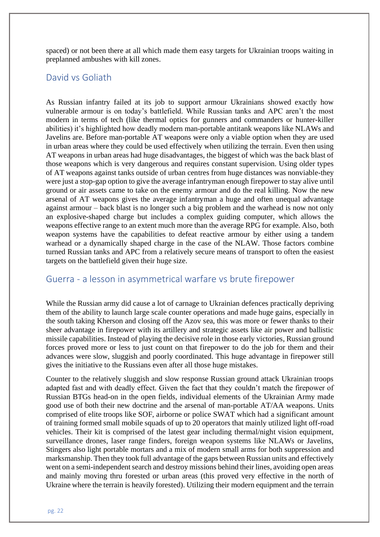spaced) or not been there at all which made them easy targets for Ukrainian troops waiting in preplanned ambushes with kill zones.

#### David vs Goliath

As Russian infantry failed at its job to support armour Ukrainians showed exactly how vulnerable armour is on today's battlefield. While Russian tanks and APC aren't the most modern in terms of tech (like thermal optics for gunners and commanders or hunter-killer abilities) it's highlighted how deadly modern man-portable antitank weapons like NLAWs and Javelins are. Before man-portable AT weapons were only a viable option when they are used in urban areas where they could be used effectively when utilizing the terrain. Even then using AT weapons in urban areas had huge disadvantages, the biggest of which was the back blast of those weapons which is very dangerous and requires constant supervision. Using older types of AT weapons against tanks outside of urban centres from huge distances was nonviable-they were just a stop-gap option to give the average infantryman enough firepower to stay alive until ground or air assets came to take on the enemy armour and do the real killing. Now the new arsenal of AT weapons gives the average infantryman a huge and often unequal advantage against armour – back blast is no longer such a big problem and the warhead is now not only an explosive-shaped charge but includes a complex guiding computer, which allows the weapons effective range to an extent much more than the average RPG for example. Also, both weapon systems have the capabilities to defeat reactive armour by either using a tandem warhead or a dynamically shaped charge in the case of the NLAW. Those factors combine turned Russian tanks and APC from a relatively secure means of transport to often the easiest targets on the battlefield given their huge size.

#### Guerra - a lesson in asymmetrical warfare vs brute firepower

While the Russian army did cause a lot of carnage to Ukrainian defences practically depriving them of the ability to launch large scale counter operations and made huge gains, especially in the south taking Kherson and closing off the Azov sea, this was more or fewer thanks to their sheer advantage in firepower with its artillery and strategic assets like air power and ballistic missile capabilities. Instead of playing the decisive role in those early victories, Russian ground forces proved more or less to just count on that firepower to do the job for them and their advances were slow, sluggish and poorly coordinated. This huge advantage in firepower still gives the initiative to the Russians even after all those huge mistakes.

Counter to the relatively sluggish and slow response Russian ground attack Ukrainian troops adapted fast and with deadly effect. Given the fact that they couldn't match the firepower of Russian BTGs head-on in the open fields, individual elements of the Ukrainian Army made good use of both their new doctrine and the arsenal of man-portable AT/AA weapons. Units comprised of elite troops like SOF, airborne or police SWAT which had a significant amount of training formed small mobile squads of up to 20 operators that mainly utilized light off-road vehicles. Their kit is comprised of the latest gear including thermal/night vision equipment, surveillance drones, laser range finders, foreign weapon systems like NLAWs or Javelins, Stingers also light portable mortars and a mix of modern small arms for both suppression and marksmanship. Then they took full advantage of the gaps between Russian units and effectively went on a semi-independent search and destroy missions behind their lines, avoiding open areas and mainly moving thru forested or urban areas (this proved very effective in the north of Ukraine where the terrain is heavily forested). Utilizing their modern equipment and the terrain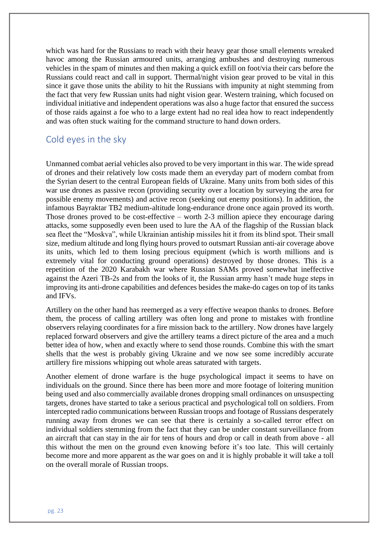which was hard for the Russians to reach with their heavy gear those small elements wreaked havoc among the Russian armoured units, arranging ambushes and destroying numerous vehicles in the spam of minutes and then making a quick exfill on foot/via their cars before the Russians could react and call in support. Thermal/night vision gear proved to be vital in this since it gave those units the ability to hit the Russians with impunity at night stemming from the fact that very few Russian units had night vision gear. Western training, which focused on individual initiative and independent operations was also a huge factor that ensured the success of those raids against a foe who to a large extent had no real idea how to react independently and was often stuck waiting for the command structure to hand down orders.

### Cold eyes in the sky

Unmanned combat aerial vehicles also proved to be very important in this war. The wide spread of drones and their relatively low costs made them an everyday part of modern combat from the Syrian desert to the central European fields of Ukraine. Many units from both sides of this war use drones as passive recon (providing security over a location by surveying the area for possible enemy movements) and active recon (seeking out enemy positions). In addition, the infamous Bayraktar TB2 medium-altitude long-endurance drone once again proved its worth. Those drones proved to be cost-effective – worth 2-3 million apiece they encourage daring attacks, some supposedly even been used to lure the AA of the flagship of the Russian black sea fleet the "Moskva", while Ukrainian antiship missiles hit it from its blind spot. Their small size, medium altitude and long flying hours proved to outsmart Russian anti-air coverage above its units, which led to them losing precious equipment (which is worth millions and is extremely vital for conducting ground operations) destroyed by those drones. This is a repetition of the 2020 Karabakh war where Russian SAMs proved somewhat ineffective against the Azeri TB-2s and from the looks of it, the Russian army hasn't made huge steps in improving its anti-drone capabilities and defences besides the make-do cages on top of its tanks and IFVs.

Artillery on the other hand has reemerged as a very effective weapon thanks to drones. Before them, the process of calling artillery was often long and prone to mistakes with frontline observers relaying coordinates for a fire mission back to the artillery. Now drones have largely replaced forward observers and give the artillery teams a direct picture of the area and a much better idea of how, when and exactly where to send those rounds. Combine this with the smart shells that the west is probably giving Ukraine and we now see some incredibly accurate artillery fire missions whipping out whole areas saturated with targets.

Another element of drone warfare is the huge psychological impact it seems to have on individuals on the ground. Since there has been more and more footage of loitering munition being used and also commercially available drones dropping small ordinances on unsuspecting targets, drones have started to take a serious practical and psychological toll on soldiers. From intercepted radio communications between Russian troops and footage of Russians desperately running away from drones we can see that there is certainly a so-called terror effect on individual soldiers stemming from the fact that they can be under constant surveillance from an aircraft that can stay in the air for tens of hours and drop or call in death from above - all this without the men on the ground even knowing before it's too late. This will certainly become more and more apparent as the war goes on and it is highly probable it will take a toll on the overall morale of Russian troops.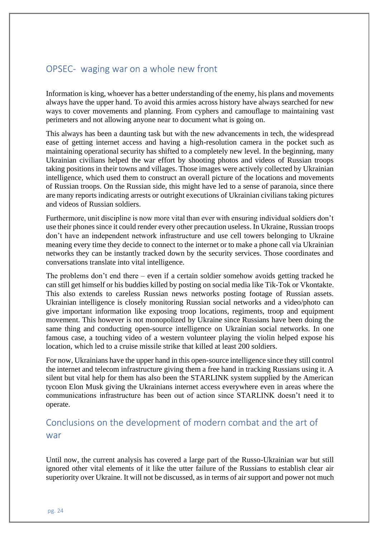# OPSEC- waging war on a whole new front

Information is king, whoever has a better understanding of the enemy, his plans and movements always have the upper hand. To avoid this armies across history have always searched for new ways to cover movements and planning. From cyphers and camouflage to maintaining vast perimeters and not allowing anyone near to document what is going on.

This always has been a daunting task but with the new advancements in tech, the widespread ease of getting internet access and having a high-resolution camera in the pocket such as maintaining operational security has shifted to a completely new level. In the beginning, many Ukrainian civilians helped the war effort by shooting photos and videos of Russian troops taking positions in their towns and villages. Those images were actively collected by Ukrainian intelligence, which used them to construct an overall picture of the locations and movements of Russian troops. On the Russian side, this might have led to a sense of paranoia, since there are many reports indicating arrests or outright executions of Ukrainian civilians taking pictures and videos of Russian soldiers.

Furthermore, unit discipline is now more vital than ever with ensuring individual soldiers don't use their phones since it could render every other precaution useless. In Ukraine, Russian troops don't have an independent network infrastructure and use cell towers belonging to Ukraine meaning every time they decide to connect to the internet or to make a phone call via Ukrainian networks they can be instantly tracked down by the security services. Those coordinates and conversations translate into vital intelligence.

The problems don't end there – even if a certain soldier somehow avoids getting tracked he can still get himself or his buddies killed by posting on social media like Tik-Tok or Vkontakte. This also extends to careless Russian news networks posting footage of Russian assets. Ukrainian intelligence is closely monitoring Russian social networks and a video/photo can give important information like exposing troop locations, regiments, troop and equipment movement. This however is not monopolized by Ukraine since Russians have been doing the same thing and conducting open-source intelligence on Ukrainian social networks. In one famous case, a touching video of a western volunteer playing the violin helped expose his location, which led to a cruise missile strike that killed at least 200 soldiers.

For now, Ukrainians have the upper hand in this open-source intelligence since they still control the internet and telecom infrastructure giving them a free hand in tracking Russians using it. A silent but vital help for them has also been the STARLINK system supplied by the American tycoon Elon Musk giving the Ukrainians internet access everywhere even in areas where the communications infrastructure has been out of action since STARLINK doesn't need it to operate.

# Conclusions on the development of modern combat and the art of war

Until now, the current analysis has covered a large part of the Russo-Ukrainian war but still ignored other vital elements of it like the utter failure of the Russians to establish clear air superiority over Ukraine. It will not be discussed, as in terms of air support and power not much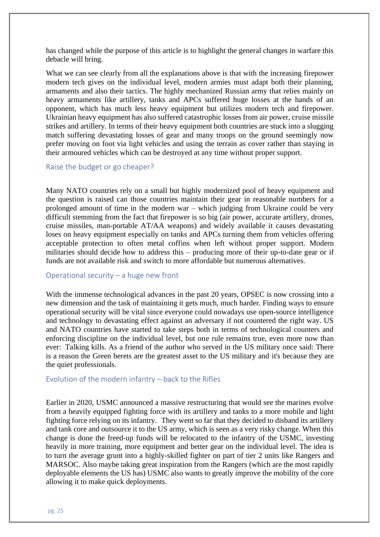has changed while the purpose of this article is to highlight the general changes in warfare this debacle will bring.

What we can see clearly from all the explanations above is that with the increasing firepower modern tech gives on the individual level, modern armies must adapt both their planning, armaments and also their tactics. The highly mechanized Russian army that relies mainly on heavy armaments like artillery, tanks and APCs suffered huge losses at the hands of an opponent, which has much less heavy equipment but utilizes modern tech and firepower. Ukrainian heavy equipment has also suffered catastrophic losses from air power, cruise missile strikes and artillery. In terms of their heavy equipment both countries are stuck into a slugging match suffering devastating losses of gear and many troops on the ground seemingly now prefer moving on foot via light vehicles and using the terrain as cover rather than staying in their armoured vehicles which can be destroyed at any time without proper support.

#### Raise the budget or go cheaper?

Many NATO countries rely on a small but highly modernized pool of heavy equipment and the question is raised can those countries maintain their gear in reasonable numbers for a prolonged amount of time in the modern war – which judging from Ukraine could be very difficult stemming from the fact that firepower is so big (air power, accurate artillery, drones, cruise missiles, man-portable AT/AA weapons) and widely available it causes devastating loses on heavy equipment especially on tanks and APCs turning them from vehicles offering acceptable protection to often metal coffins when left without proper support. Modern militaries should decide how to address this – producing more of their up-to-date gear or if funds are not available risk and switch to more affordable but numerous alternatives.

#### Operational security – a huge new front

With the immense technological advances in the past 20 years, OPSEC is now crossing into a new dimension and the task of maintaining it gets much, much harder. Finding ways to ensure operational security will be vital since everyone could nowadays use open-source intelligence and technology to devastating effect against an adversary if not countered the right way. US and NATO countries have started to take steps both in terms of technological counters and enforcing discipline on the individual level, but one rule remains true, even more now than ever: Talking kills. As a friend of the author who served in the US military once said: There is a reason the Green berets are the greatest asset to the US military and it's because they are the quiet professionals.

#### Evolution of the modern infantry – back to the Rifles

Earlier in 2020, USMC announced a massive restructuring that would see the marines evolve from a heavily equipped fighting force with its artillery and tanks to a more mobile and light fighting force relying on its infantry. They went so far that they decided to disband its artillery and tank core and outsource it to the US army, which is seen as a very risky change. When this change is done the freed-up funds will be relocated to the infantry of the USMC, investing heavily in more training, more equipment and better gear on the individual level. The idea is to turn the average grunt into a highly-skilled fighter on part of tier 2 units like Rangers and MARSOC. Also maybe taking great inspiration from the Rangers (which are the most rapidly deployable elements the US has) USMC also wants to greatly improve the mobility of the core allowing it to make quick deployments.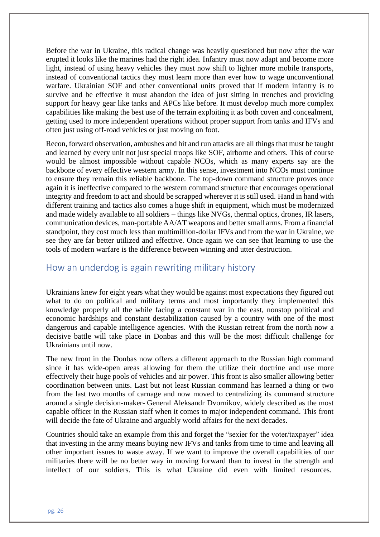Before the war in Ukraine, this radical change was heavily questioned but now after the war erupted it looks like the marines had the right idea. Infantry must now adapt and become more light, instead of using heavy vehicles they must now shift to lighter more mobile transports, instead of conventional tactics they must learn more than ever how to wage unconventional warfare. Ukrainian SOF and other conventional units proved that if modern infantry is to survive and be effective it must abandon the idea of just sitting in trenches and providing support for heavy gear like tanks and APCs like before. It must develop much more complex capabilities like making the best use of the terrain exploiting it as both coven and concealment, getting used to more independent operations without proper support from tanks and IFVs and often just using off-road vehicles or just moving on foot.

Recon, forward observation, ambushes and hit and run attacks are all things that must be taught and learned by every unit not just special troops like SOF, airborne and others. This of course would be almost impossible without capable NCOs, which as many experts say are the backbone of every effective western army. In this sense, investment into NCOs must continue to ensure they remain this reliable backbone. The top-down command structure proves once again it is ineffective compared to the western command structure that encourages operational integrity and freedom to act and should be scrapped wherever it is still used. Hand in hand with different training and tactics also comes a huge shift in equipment, which must be modernized and made widely available to all soldiers – things like NVGs, thermal optics, drones, IR lasers, communication devices, man-portable AA/AT weapons and better small arms. From a financial standpoint, they cost much less than multimillion-dollar IFVs and from the war in Ukraine, we see they are far better utilized and effective. Once again we can see that learning to use the tools of modern warfare is the difference between winning and utter destruction.

#### How an underdog is again rewriting military history

Ukrainians knew for eight years what they would be against most expectations they figured out what to do on political and military terms and most importantly they implemented this knowledge properly all the while facing a constant war in the east, nonstop political and economic hardships and constant destabilization caused by a country with one of the most dangerous and capable intelligence agencies. With the Russian retreat from the north now a decisive battle will take place in Donbas and this will be the most difficult challenge for Ukrainians until now.

The new front in the Donbas now offers a different approach to the Russian high command since it has wide-open areas allowing for them the utilize their doctrine and use more effectively their huge pools of vehicles and air power. This front is also smaller allowing better coordination between units. Last but not least Russian command has learned a thing or two from the last two months of carnage and now moved to centralizing its command structure around a single decision-maker- General Aleksandr Dvornikov, widely described as the most capable officer in the Russian staff when it comes to major independent command. This front will decide the fate of Ukraine and arguably world affairs for the next decades.

Countries should take an example from this and forget the "sexier for the voter/taxpayer" idea that investing in the army means buying new IFVs and tanks from time to time and leaving all other important issues to waste away. If we want to improve the overall capabilities of our militaries there will be no better way in moving forward than to invest in the strength and intellect of our soldiers. This is what Ukraine did even with limited resources.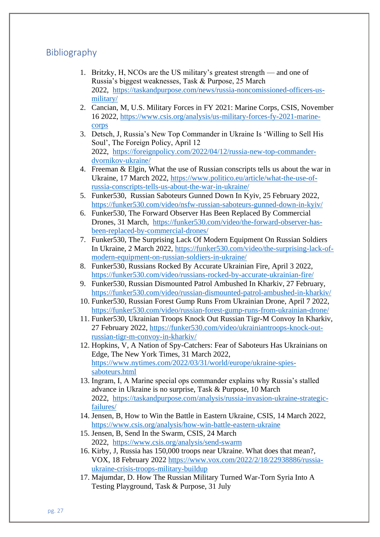# **Bibliography**

- 1. Britzky, H, NCOs are the US military's greatest strength and one of Russia's biggest weaknesses, Task & Purpose, 25 March 2022, [https://taskandpurpose.com/news/russia-noncomissioned-officers-us](https://taskandpurpose.com/news/russia-noncomissioned-officers-us-military/)[military/](https://taskandpurpose.com/news/russia-noncomissioned-officers-us-military/)
- 2. Cancian, M, U.S. Military Forces in FY 2021: Marine Corps, CSIS, November 16 2022, [https://www.csis.org/analysis/us-military-forces-fy-2021-marine](https://www.csis.org/analysis/us-military-forces-fy-2021-marine-corps)[corps](https://www.csis.org/analysis/us-military-forces-fy-2021-marine-corps)
- 3. Detsch, J, Russia's New Top Commander in Ukraine Is 'Willing to Sell His Soul', The Foreign Policy, April 12 2022, [https://foreignpolicy.com/2022/04/12/russia-new-top-commander](https://foreignpolicy.com/2022/04/12/russia-new-top-commander-dvornikov-ukraine/)[dvornikov-ukraine/](https://foreignpolicy.com/2022/04/12/russia-new-top-commander-dvornikov-ukraine/)
- 4. Freeman & Elgin, What the use of Russian conscripts tells us about the war in Ukraine, 17 March 2022, [https://www.politico.eu/article/what-the-use-of](https://www.politico.eu/article/what-the-use-of-russia-conscripts-tells-us-about-the-war-in-ukraine/)[russia-conscripts-tells-us-about-the-war-in-ukraine/](https://www.politico.eu/article/what-the-use-of-russia-conscripts-tells-us-about-the-war-in-ukraine/)
- 5. Funker530, Russian Saboteurs Gunned Down In Kyiv, 25 February 2022, <https://funker530.com/video/nsfw-russian-saboteurs-gunned-down-in-kyiv/>
- 6. Funker530, The Forward Observer Has Been Replaced By Commercial Drones, 31 March, [https://funker530.com/video/the-forward-observer-has](https://funker530.com/video/the-forward-observer-has-been-replaced-by-commercial-drones/)[been-replaced-by-commercial-drones/](https://funker530.com/video/the-forward-observer-has-been-replaced-by-commercial-drones/)
- 7. Funker530, The Surprising Lack Of Modern Equipment On Russian Soldiers In Ukraine, 2 March 2022, [https://funker530.com/video/the-surprising-lack-of](https://funker530.com/video/the-surprising-lack-of-modern-equipment-on-russian-soldiers-in-ukraine/)[modern-equipment-on-russian-soldiers-in-ukraine/](https://funker530.com/video/the-surprising-lack-of-modern-equipment-on-russian-soldiers-in-ukraine/)
- 8. Funker530, Russians Rocked By Accurate Ukrainian Fire, April 3 2022, <https://funker530.com/video/russians-rocked-by-accurate-ukrainian-fire/>
- 9. Funker530, Russian Dismounted Patrol Ambushed In Kharkiv, 27 February, <https://funker530.com/video/russian-dismounted-patrol-ambushed-in-kharkiv/>
- 10. Funker530, Russian Forest Gump Runs From Ukrainian Drone, April 7 2022, <https://funker530.com/video/russian-forest-gump-runs-from-ukrainian-drone/>
- 11. Funker530, Ukrainian Troops Knock Out Russian Tigr-M Convoy In Kharkiv, 27 February 2022, [https://funker530.com/video/ukrainiantroops-knock-out](https://funker530.com/video/ukrainiantroops-knock-out-russian-tigr-m-convoy-in-kharkiv/)[russian-tigr-m-convoy-in-kharkiv/](https://funker530.com/video/ukrainiantroops-knock-out-russian-tigr-m-convoy-in-kharkiv/)
- 12. Hopkins, V, A Nation of Spy-Catchers: Fear of Saboteurs Has Ukrainians on Edge, The New York Times, 31 March 2022, [https://www.nytimes.com/2022/03/31/world/europe/ukraine-spies](https://www.nytimes.com/2022/03/31/world/europe/ukraine-spies-saboteurs.html)[saboteurs.html](https://www.nytimes.com/2022/03/31/world/europe/ukraine-spies-saboteurs.html)
- 13. Ingram, I, A Marine special ops commander explains why Russia's stalled advance in Ukraine is no surprise, Task & Purpose, 10 March 2022, [https://taskandpurpose.com/analysis/russia-invasion-ukraine-strategic](https://taskandpurpose.com/analysis/russia-invasion-ukraine-strategic-failures/)[failures/](https://taskandpurpose.com/analysis/russia-invasion-ukraine-strategic-failures/)
- 14. Jensen, B, How to Win the Battle in Eastern Ukraine, CSIS, 14 March 2022, <https://www.csis.org/analysis/how-win-battle-eastern-ukraine>
- 15. Jensen, B, Send In the Swarm, CSIS, 24 March 2022, <https://www.csis.org/analysis/send-swarm>
- 16. Kirby, J, Russia has 150,000 troops near Ukraine. What does that mean?, VOX, 18 February 2022 [https://www.vox.com/2022/2/18/22938886/russia](https://www.vox.com/2022/2/18/22938886/russia-ukraine-crisis-troops-military-buildup)[ukraine-crisis-troops-military-buildup](https://www.vox.com/2022/2/18/22938886/russia-ukraine-crisis-troops-military-buildup)
- 17. Majumdar, D. How The Russian Military Turned War-Torn Syria Into A Testing Playground, Task & Purpose, 31 July